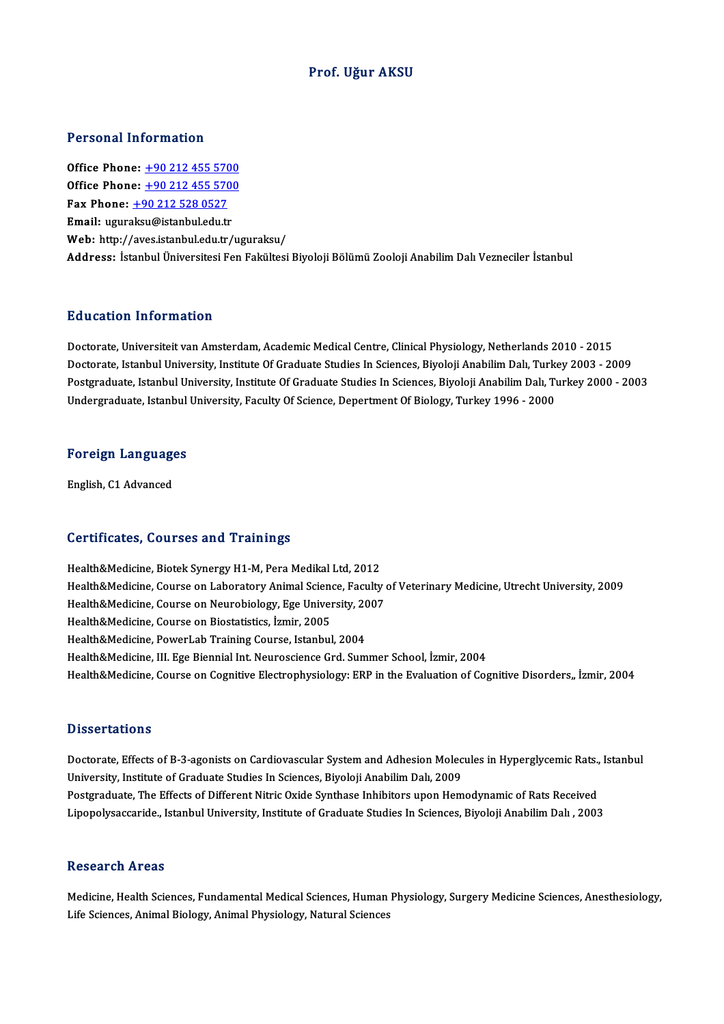## Prof. Uğur AKSU

## Personal Information

Personal Information<br>Office Phone: <u>+90 212 455 5700</u><br>Office Phone: 190 212 455 5700 Office Phone: <u>+90 212 455 5700</u><br>Office Phone: <u>+90 212 455 5700</u><br>Fax Phone: 190 212 528 0527 Office Phone: <u>+90 212 455 570</u><br>Office Phone: <u>+90 212 455 570</u><br>Fax Phone: <u>+90 212 528 0527</u><br>Email: wayrelsy@istanbyl.cdy.tr Office Phone: <u>+90 212 455 5700</u><br>Fax Phone: <u>+90 212 528 0527</u><br>Email: ugur[aksu@istanbul.edu.t](tel:+90 212 528 0527)[r](tel:+90 212 455 5700) Web: http://aves.istanbul.edu.tr/uguraksu/ Address: İstanbul Üniversitesi Fen Fakültesi Biyoloji Bölümü Zooloji Anabilim Dalı Vezneciler İstanbul

### Education Information

Doctorate, Universiteit van Amsterdam, Academic Medical Centre, Clinical Physiology, Netherlands 2010 - 2015 Doctorate, Universiteit van Amsterdam, Academic Medical Centre, Clinical Physiology, Netherlands 2010 - 2015<br>Doctorate, Istanbul University, Institute Of Graduate Studies In Sciences, Biyoloji Anabilim Dalı, Turkey 2003<br>Po Postgraduate, Istanbul University, Institute Of Graduate Studies In Sciences, Biyoloji Anabilim Dalı, Turkey 2000 - 2003<br>Undergraduate, Istanbul University, Faculty Of Science, Depertment Of Biology, Turkey 1996 - 2000 Doctorate, Istanbul University, Institute Of Graduate Studies In Sciences, Biyoloji Anabilim Dalı, Turk<br>Postgraduate, Istanbul University, Institute Of Graduate Studies In Sciences, Biyoloji Anabilim Dalı, Tı<br>Undergraduate

# <sub>ondergraduate, istanbul</sub><br>Foreign Languages <mark>Foreign Languag</mark><br>English, C1 Advanced

# English, C1 Advanced<br>Certificates, Courses and Trainings

Health&Medicine, Biotek Synergy H1-M, Pera Medikal Ltd, 2012 Health&Medicine, Course on Laboratory Animal Science, Faculty of Veterinary Medicine, Utrecht University, 2009 Health&Medicine, Biotek Synergy H1-M, Pera Medikal Ltd, 2012<br>Health&Medicine, Course on Laboratory Animal Science, Faculty<br>Health&Medicine, Course on Neurobiology, Ege University, 2007<br>Health&Medicine, Course on Biostatist Health&Medicine, Course on Laboratory Animal Scienc<br>Health&Medicine, Course on Neurobiology, Ege Univer<br>Health&Medicine, Course on Biostatistics, İzmir, 2005<br>Health&Medicine, Rougal ab Training Course, Istanbul Health&Medicine, Course on Neurobiology, Ege University, 20<br>Health&Medicine, Course on Biostatistics, İzmir, 2005<br>Health&Medicine, PowerLab Training Course, Istanbul, 2004<br>Health&Medicine, III, Ege Bioppial Int, Neurossian Health&Medicine, Course on Biostatistics, İzmir, 2005<br>Health&Medicine, PowerLab Training Course, Istanbul, 2004<br>Health&Medicine, III. Ege Biennial Int. Neuroscience Grd. Summer School, İzmir, 2004 Health&Medicine, Course on Cognitive Electrophysiology: ERP in the Evaluation of Cognitive Disorders, İzmir, 2004

### **Dissertations**

Dissertations<br>Doctorate, Effects of B-3-agonists on Cardiovascular System and Adhesion Molecules in Hyperglycemic Rats., Istanbul<br>University Institute of Craduate Studies In Sciences, Biveleii Anabilim Delu 2009. University, Institute of Graduate Studies In Sciences, Biyoloji Anabilim Dalı, 2009<br>Postgraduate, The Effects of Different Nitric Oxide Synthase Inhibitors upon Hemodynamic of Rats Received Doctorate, Effects of B-3-agonists on Cardiovascular System and Adhesion Molecules in Hyperglycemic Rats.,<br>University, Institute of Graduate Studies In Sciences, Biyoloji Anabilim Dalı, 2009<br>Postgraduate, The Effects of Di Lipopolysaccaride., Istanbul University, Institute of Graduate Studies In Sciences, Biyoloji Anabilim Dalı , 2003

#### Research Areas

Research Areas<br>Medicine, Health Sciences, Fundamental Medical Sciences, Human Physiology, Surgery Medicine Sciences, Anesthesiology,<br>Life Sciences, Animal Pielagy, Animal Physiology, Natural Sciences 1000011 on 111 000<br>Medicine, Health Sciences, Fundamental Medical Sciences, Human I<br>Life Sciences, Animal Biology, Animal Physiology, Natural Sciences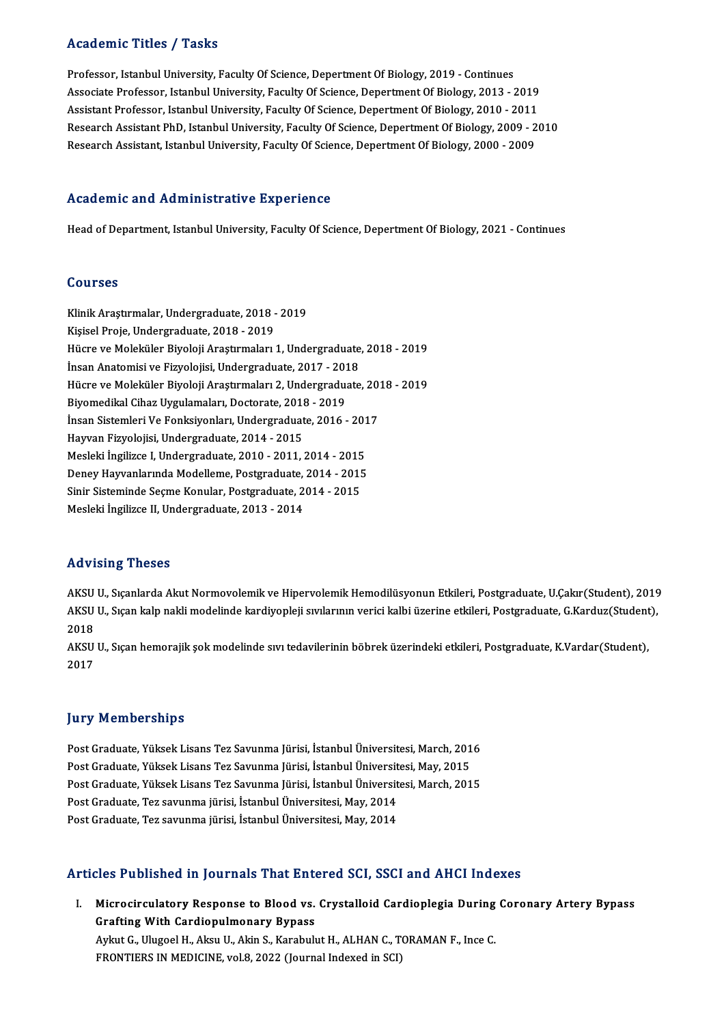# Academic Titles / Tasks

Academic Titles / Tasks<br>Professor, Istanbul University, Faculty Of Science, Depertment Of Biology, 2019 - Continues<br>Assesiste Professor, Istanbul University, Faculty Of Science, Depertment Of Biology, 2012 Associate Article 7 Tubas<br>Professor, Istanbul University, Faculty Of Science, Depertment Of Biology, 2019 - Continues<br>Associate Professor, Istanbul University, Faculty Of Science, Depertment Of Biology, 2013 - 2019<br>Assista Associate Professor, Istanbul University, Faculty Of Science, Depertment Of Biology, 2013 - 2019<br>Assistant Professor, Istanbul University, Faculty Of Science, Depertment Of Biology, 2010 - 2011 Associate Professor, Istanbul University, Faculty Of Science, Depertment Of Biology, 2013 - 2019<br>Assistant Professor, Istanbul University, Faculty Of Science, Depertment Of Biology, 2010 - 2011<br>Research Assistant PhD, Ista Assistant Professor, Istanbul University, Faculty Of Science, Depertment Of Biology, 2010 - 2011<br>Research Assistant PhD, Istanbul University, Faculty Of Science, Depertment Of Biology, 2009 - 2<br>Research Assistant, Istanbul Research Assistant, Istanbul University, Faculty Of Science, Depertment Of Biology, 2000 - 2009<br>Academic and Administrative Experience

Head of Department, Istanbul University, Faculty Of Science, Depertment Of Biology, 2021 - Continues

### Courses

Courses<br>Klinik Araştırmalar, Undergraduate, 2018 - 2019<br>Kisisel Preje, Undergraduate, 2019 - 2019 UUUI 505<br>Klinik Araştırmalar, Undergraduate, 2018 -<br>Kişisel Proje, Undergraduate, 2018 - 2019<br>Hügre ve Moleküler Biyeleji Arastırmaları Klinik Araştırmalar, Undergraduate, 2018 - 2019<br>Kişisel Proje, Undergraduate, 2018 - 2019<br>Hücre ve Moleküler Biyoloji Araştırmaları 1, Undergraduate, 2018 - 2019<br>İncan Anatomisi ve Fizyolojisi, Undergraduate, 2017 - 2019 Kişisel Proje, Undergraduate, 2018 - 2019<br>Hücre ve Moleküler Biyoloji Araştırmaları 1, Undergraduate<br>İnsan Anatomisi ve Fizyolojisi, Undergraduate, 2017 - 2018<br>Hücre ve Moleküler Biyoloji Arastırmaları 2, Undergraduate Hücre ve Moleküler Biyoloji Araştırmaları 1, Undergraduate, 2018 - 2019<br>İnsan Anatomisi ve Fizyolojisi, Undergraduate, 2017 - 2018<br>Hücre ve Moleküler Biyoloji Araştırmaları 2, Undergraduate, 2018 - 2019<br>Biyomodikal Cihaz U İnsan Anatomisi ve Fizyolojisi, Undergraduate, 2017 - 2018<br>Hücre ve Moleküler Biyoloji Araştırmaları 2, Undergraduate, 20<br>Biyomedikal Cihaz Uygulamaları, Doctorate, 2018 - 2019<br>İnsan Sistemleri Ve Fonksiyonları, Undergradu Hücre ve Moleküler Biyoloji Araştırmaları 2, Undergraduate, 2018 - 2019 HayvanFizyolojisi,Undergraduate,2014 -2015 İnsan Sistemleri Ve Fonksiyonları, Undergraduate, 2016 - 2013<br>Hayvan Fizyolojisi, Undergraduate, 2014 - 2015<br>Mesleki İngilizce I, Undergraduate, 2010 - 2011, 2014 - 2015<br>Danay Hayvanlarında Modellame, Pestanaduate, 2014 - Hayvan Fizyolojisi, Undergraduate, 2014 - 2015<br>Mesleki İngilizce I, Undergraduate, 2010 - 2011, 2014 - 2015<br>Deney Hayvanlarında Modelleme, Postgraduate, 2014 - 2015<br>Sinir Sisteminde Sesme Konular, Postgraduate, 2014 - 2015 Mesleki İngilizce I, Undergraduate, 2010 - 2011, 2014 - 2015<br>Deney Hayvanlarında Modelleme, Postgraduate, 2014 - 2015<br>Sinir Sisteminde Seçme Konular, Postgraduate, 2014 - 2015<br>Mesleki İngilizce II Undergraduate, 2012, 2014 Deney Hayvanlarında Modelleme, Postgraduate, 2014 - 2015<br>Sinir Sisteminde Seçme Konular, Postgraduate, 2014 - 2015<br>Mesleki İngilizce II, Undergraduate, 2013 - 2014

## Advising Theses

AKSU U., Sıçanlarda Akut Normovolemik ve Hipervolemik Hemodilüsyonun Etkileri, Postgraduate, U.Cakır(Student), 2019 11d v 1911.<br>AKSU U., Sıçanlarda Akut Normovolemik ve Hipervolemik Hemodilüsyonun Etkileri, Postgraduate, U.Çakır(Student),<br>AKSU U., Sıçan kalp nakli modelinde kardiyopleji sıvılarının verici kalbi üzerine etkileri, Postgra AKSU<br>AKSU<br>2018<br>AKSU AKSU U., Sıçan kalp nakli modelinde kardiyopleji sıvılarının verici kalbi üzerine etkileri, Postgraduate, G.Karduz(Student<br>2018<br>AKSU U., Sıçan hemorajik şok modelinde sıvı tedavilerinin böbrek üzerindeki etkileri, Postgrad

2018<br>AKSU U., Sıçan hemorajik şok modelinde sıvı tedavilerinin böbrek üzerindeki etkileri, Postgraduate, K.Vardar(Student),<br>2017

## **Jury Memberships**

**Jury Memberships<br>Post Graduate, Yüksek Lisans Tez Savunma Jürisi, İstanbul Üniversitesi, March, 2016<br>Post Craduate, Yüksek Lisans Tez Savunma Jürisi, İstanbul Üniversitesi, May, 2015** yar yırısın bersin ya<br>Post Graduate, Yüksek Lisans Tez Savunma Jürisi, İstanbul Üniversitesi, March, 201<br>Post Graduate, Yüksek Lisans Tez Savunma Jürisi, İstanbul Üniversitesi, May, 2015<br>Post Graduate, Yüksek Lisans Tez Sa Post Graduate, Yüksek Lisans Tez Savunma Jürisi, İstanbul Üniversitesi, March, 2016<br>Post Graduate, Yüksek Lisans Tez Savunma Jürisi, İstanbul Üniversitesi, May, 2015<br>Post Graduate, Yüksek Lisans Tez Savunma Jürisi, İstanbu Post Graduate, Yüksek Lisans Tez Savunma Jürisi, İstanbul Üniversitesi, May, 2015<br>Post Graduate, Yüksek Lisans Tez Savunma Jürisi, İstanbul Üniversitesi, March, 201<br>Post Graduate, Tez savunma jürisi, İstanbul Üniversitesi, Post Graduate, Yüksek Lisans Tez Savunma Jürisi, İstanbul Üniversitesi, March, 2015

## Articles Published in Journals That Entered SCI, SSCI and AHCI Indexes

rticles Published in Journals That Entered SCI, SSCI and AHCI Indexes<br>I. Microcirculatory Response to Blood vs. Crystalloid Cardioplegia During Coronary Artery Bypass<br>Crafting With Cardiopulmonary Bypass Microcirculatory Response to Blood vs.<br>Grafting With Cardiopulmonary Bypass<br>Avlat C. Hlugool H. Akay H. Akin S. Korobub Microcirculatory Response to Blood vs. Crystalloid Cardioplegia During<br>Grafting With Cardiopulmonary Bypass<br>Aykut G., Ulugoel H., Aksu U., Akin S., Karabulut H., ALHAN C., TORAMAN F., Ince C.<br>EPONTIERS IN MEDICINE .val.2, Grafting With Cardiopulmonary Bypass<br>Aykut G., Ulugoel H., Aksu U., Akin S., Karabulut H., ALHAN C., T<br>FRONTIERS IN MEDICINE, vol.8, 2022 (Journal Indexed in SCI)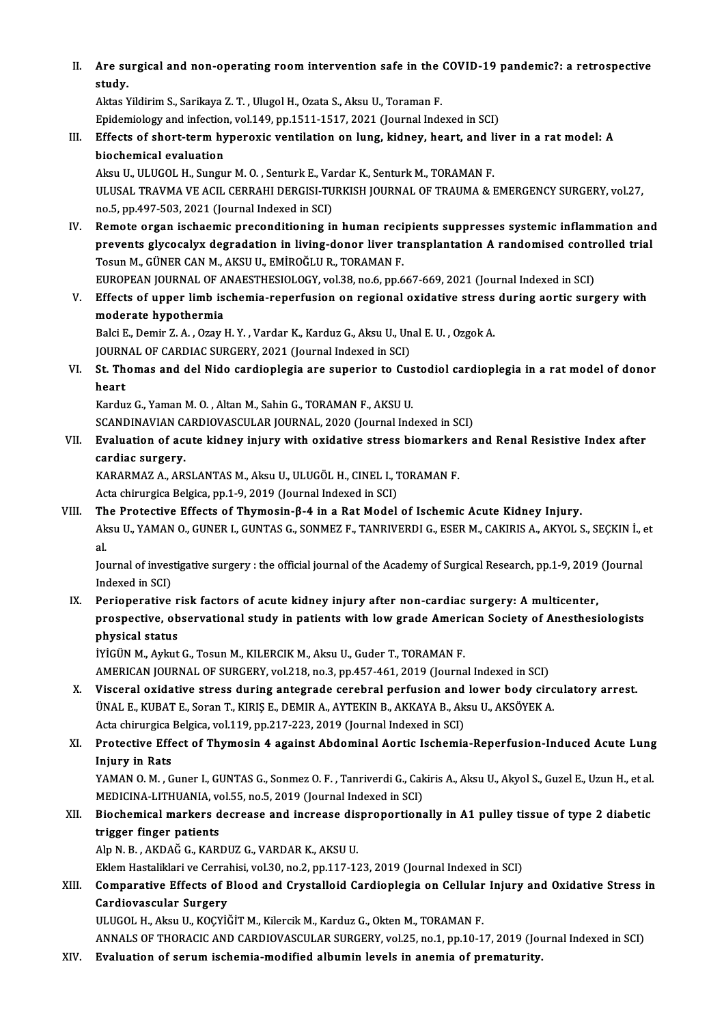II. Are surgical and non-operating room intervention safe in the COVID-19 pandemic?: a retrospective<br>etydy Are su<br>study. Are surgical and non-operating room intervention safe in the<br>study.<br>Aktas Yildirim S., Sarikaya Z. T. , Ulugol H., Ozata S., Aksu U., Toraman F.<br>Enidomialogy and infection vol 140 nn 1511 1517 2021 (Journal Inde

study.<br>Aktas Yildirim S., Sarikaya Z. T. , Ulugol H., Ozata S., Aksu U., Toraman F.<br>Epidemiology and infection, vol.149, pp.1511-1517, 2021 (Journal Indexed in SCI)<br>Effects of short torm bynenovis vontilation on lung, kidn

# Aktas Yildirim S., Sarikaya Z. T. , Ulugol H., Ozata S., Aksu U., Toraman F.<br>Epidemiology and infection, vol.149, pp.1511-1517, 2021 (Journal Indexed in SCI)<br>III. Effects of short-term hyperoxic ventilation on lung, kidney Epidemiology and infection<br>Effects of short-term hy<br>biochemical evaluation<br>Akou II, HHCOL H, Sungu Effects of short-term hyperoxic ventilation on lung, kidney, heart, and li<br>biochemical evaluation<br>Aksu U., ULUGOL H., Sungur M. O. , Senturk E., Vardar K., Senturk M., TORAMAN F.<br>ULUSAL TRAVMA VE ACU, CERRAHI DERCISI TURKI

ULUSAL TRAVMA VE ACIL CERRAHI DERGISI-TURKISH JOURNAL OF TRAUMA & EMERGENCY SURGERY, vol.27,<br>no.5, pp.497-503, 2021 (Journal Indexed in SCI) Aksu U., ULUGOL H., Sungur M. O. , Senturk E., Va<br>ULUSAL TRAVMA VE ACIL CERRAHI DERGISI-TU<br>no.5, pp.497-503, 2021 (Journal Indexed in SCI)<br>Bemete ergan ischeemis presenditioning in

IV. Remote organ ischaemic preconditioning in human recipients suppresses systemic inflammation and no.5, pp.497-503, 2021 (Journal Indexed in SCI)<br>Remote organ ischaemic preconditioning in human recipients suppresses systemic inflammation and<br>Pesun M. CÜNER CAN M. AKSU U. EMİROČU IR. TORAMAN E Remote organ ischaemic preconditioning in human reci<br>prevents glycocalyx degradation in living-donor liver tr<br>Tosun M., GÜNER CAN M., AKSU U., EMİROĞLU R., TORAMAN F.<br>FUROPEAN JOURNAL OF ANAESTUESIOLOCY vel 39 no 6 nn 6 prevents glycocalyx degradation in living-donor liver transplantation A randomised contr<br>Tosun M., GÜNER CAN M., AKSU U., EMİROĞLU R., TORAMAN F.<br>EUROPEAN JOURNAL OF ANAESTHESIOLOGY, vol.38, no.6, pp.667-669, 2021 (Journal Tosun M., GÜNER CAN M., AKSU U., EMİROĞLU R., TORAMAN F.<br>EUROPEAN JOURNAL OF ANAESTHESIOLOGY, vol.38, no.6, pp.667-669, 2021 (Journal Indexed in SCI)<br>V. Effects of upper limb ischemia-reperfusion on regional oxidative stre

EUROPEAN JOURNAL OF A<br>Effects of upper limb is<br>moderate hypothermia<br>Baki E. Damin 7, A. Oray l Effects of upper limb ischemia-reperfusion on regional oxidative stress<br>moderate hypothermia<br>Balci E., Demir Z. A. , Ozay H. Y. , Vardar K., Karduz G., Aksu U., Unal E. U. , Ozgok A.<br>JOUPMAL OF GARDIAC SUBGERY 2021 (Journa

moderate hypothermia<br>Balci E., Demir Z. A. , Ozay H. Y. , Vardar K., Karduz G., Aksu U., Unal E. U. , Ozgok A.<br>JOURNAL OF CARDIAC SURGERY, 2021 (Journal Indexed in SCI)

Balci E., Demir Z. A. , Ozay H. Y. , Vardar K., Karduz G., Aksu U., Unal E. U. , Ozgok A.<br>JOURNAL OF CARDIAC SURGERY, 2021 (Journal Indexed in SCI)<br>VI. St. Thomas and del Nido cardioplegia are superior to Custodiol cardiop JOURN<br><mark>St. Th</mark><br>heart<br>Kardw St. Thomas and del Nido cardioplegia are superior to Cus<br>heart<br>Karduz G., Yaman M. O. , Altan M., Sahin G., TORAMAN F., AKSU U.<br>SCANDINAVIAN CARDIOVASCULAR JOURNAL, 2020 (Journal Ind

heart<br>Karduz G., Yaman M. O. , Altan M., Sahin G., TORAMAN F., AKSU U.<br>SCANDINAVIAN CARDIOVASCULAR JOURNAL, 2020 (Journal Indexed in SCI)<br>Evaluation of asute kidnov injuny with oxidative stress biomarkers s

Karduz G., Yaman M. O. , Altan M., Sahin G., TORAMAN F., AKSU U.<br>SCANDINAVIAN CARDIOVASCULAR JOURNAL, 2020 (Journal Indexed in SCI)<br>VII. Evaluation of acute kidney injury with oxidative stress biomarkers and Renal Resistiv SCANDINAVIAN C<sub>4</sub><br>Evaluation of ac<br>cardiac surgery.<br>KARAPMAZ A AP Evaluation of acute kidney injury with oxidative stress biomarker<br>cardiac surgery.<br>KARARMAZ A., ARSLANTAS M., Aksu U., ULUGÖL H., CINEL I., TORAMAN F.<br>Acto chimurgica Bolgica nn 1, 9, 2019 (Journal Indoved in SCI) cardiac surgery.<br>KARARMAZ A., ARSLANTAS M., Aksu U., ULUGÖL H., CINEL I., 1<br>Acta chirurgica Belgica, pp.1-9, 2019 (Journal Indexed in SCI)<br>The Pretestive Effests of Thymosin 8.4 in a Pet Model.

Acta chirurgica Belgica, pp.1-9, 2019 (Journal Indexed in SCI)<br>VIII. The Protective Effects of Thymosin-β-4 in a Rat Model of Ischemic Acute Kidney Injury. Acta chirurgica Belgica, pp.1-9, 2019 (Journal Indexed in SCI)<br>The Protective Effects of Thymosin-β-4 in a Rat Model of Ischemic Acute Kidney Injury.<br>Aksu U., YAMAN O., GUNER I., GUNTAS G., SONMEZ F., TANRIVERDI G., ESER M Th<br>Ak<br>al. Aksu U., YAMAN O., GUNER I., GUNTAS G., SONMEZ F., TANRIVERDI G., ESER M., CAKIRIS A., AKYOL S., SEÇKIN İ., (<br>al.<br>Journal of investigative surgery : the official journal of the Academy of Surgical Research, pp.1-9, 2019 (J

al.<br>Journal of investigative surgery : the official journal of the Academy of Surgical Research, pp.1-9, 2019 (Journal<br>Indexed in SCI)

IX. Perioperative risk factors of acute kidney injury after non-cardiac surgery: Amulticenter, Indexed in SCI)<br>Perioperative risk factors of acute kidney injury after non-cardiac surgery: A multicenter,<br>prospective, observational study in patients with low grade American Society of Anesthesiologists<br>physical status Perioperative r<br>prospective, ob<br>physical status<br>ivicijn Madrut prospective, observational study in patients with low grade Americ<br>physical status<br>İYİGÜN M., Aykut G., Tosun M., KILERCIK M., Aksu U., Guder T., TORAMAN F.<br>AMERICAN JOURNAL OF SURCERY vol 219 no 2 nn 457,461,2010 (Journa physical status<br>İYİGÜN M., Aykut G., Tosun M., KILERCIK M., Aksu U., Guder T., TORAMAN F.<br>AMERICAN JOURNAL OF SURGERY, vol.218, no.3, pp.457-461, 2019 (Journal Indexed in SCI)<br>Visserel exidetive stress during entegrade ser

iYiGÜN M., Aykut G., Tosun M., KILERCIK M., Aksu U., Guder T., TORAMAN F.<br>AMERICAN JOURNAL OF SURGERY, vol.218, no.3, pp.457-461, 2019 (Journal Indexed in SCI)<br>X. Visceral oxidative stress during antegrade cerebral per AMERICAN JOURNAL OF SURGERY, vol.218, no.3, pp.457-461, 2019 (Journal Indexed in SCI)<br>Visceral oxidative stress during antegrade cerebral perfusion and lower body circ<br>ÜNAL E., KUBAT E., Soran T., KIRIŞ E., DEMIR A., AYTEK Visceral oxidative stress during antegrade cerebral perfusion and<br>ÜNAL E., KUBAT E., Soran T., KIRIŞ E., DEMIR A., AYTEKIN B., AKKAYA B., Ak<br>Acta chirurgica Belgica, vol.119, pp.217-223, 2019 (Journal Indexed in SCI)<br>Prote

# XI. Protective Effect of Thymosin 4 against Abdominal Aortic Ischemia-Reperfusion-Induced Acute Lung Acta chirurgica<br>Protective Effe<br>Injury in Rats<br>YAMAN O.M...C Protective Effect of Thymosin 4 against Abdominal Aortic Ischemia-Reperfusion-Induced Acute Lung<br>Injury in Rats<br>YAMAN O.M. , Guner I., GUNTAS G., Sonmez O.F. , Tanriverdi G., Cakiris A., Aksu U., Akyol S., Guzel E., Uzun H

I<mark>njury in Rats</mark><br>YAMAN O. M. , Guner I., GUNTAS G., Sonmez O. F. , Tanriverdi G., Cak<br>MEDICINA-LITHUANIA, vol.55, no.5, 2019 (Journal Indexed in SCI)<br>Piesbemissl markers desreese and insreese dianrepertiens YAMAN O. M. , Guner I., GUNTAS G., Sonmez O. F. , Tanriverdi G., Cakiris A., Aksu U., Akyol S., Guzel E., Uzun H., et al.<br>MEDICINA-LITHUANIA, vol.55, no.5, 2019 (Journal Indexed in SCI)<br>XII. Biochemical markers decrease an

# MEDICINA-LITHUANIA, vo<br>Biochemical markers d<br>trigger finger patients XII. Biochemical markers decrease and increase disproportionally in A1 pulley tissue of type 2 diabetic<br>trigger finger patients<br>Alp N. B., AKDAĞ G., KARDUZ G., VARDAR K., AKSU U. trigger finger patients<br>Alp N. B. , AKDAĞ G., KARDUZ G., VARDAR K., AKSU U.<br>Eklem Hastaliklari ve Cerrahisi, vol.30, no.2, pp.117-123, 2019 (Journal Indexed in SCI)<br>Comparative Effects of Blood and Crystalleid Cardioplesis

# Alp N. B. , AKDAĞ G., KARDUZ G., VARDAR K., AKSU U.<br>Eklem Hastaliklari ve Cerrahisi, vol.30, no.2, pp.117-123, 2019 (Journal Indexed in SCI)<br>XIII. Comparative Effects of Blood and Crystalloid Cardioplegia on Cellular I Eklem Hastaliklari ve Cerra<br>Comparative Effects of E<br>Cardiovascular Surgery<br>III UCOL H. Almu II, KOCYİ Comparative Effects of Blood and Crystalloid Cardioplegia on Cellular<br>Cardiovascular Surgery<br>ULUGOL H., Aksu U., KOÇYİĞİT M., Kilercik M., Karduz G., Okten M., TORAMAN F.<br>ANNALS OF THORACIC AND CARDIOVASCULAR SURCERY vel 2 Cardiovascular Surgery<br>ULUGOL H., Aksu U., KOÇYİĞİT M., Kilercik M., Karduz G., Okten M., TORAMAN F.<br>ANNALS OF THORACIC AND CARDIOVASCULAR SURGERY, vol.25, no.1, pp.10-17, 2019 (Journal Indexed in SCI)

XIV. Evaluation of serumischemia-modified albumin levels in anemia of prematurity.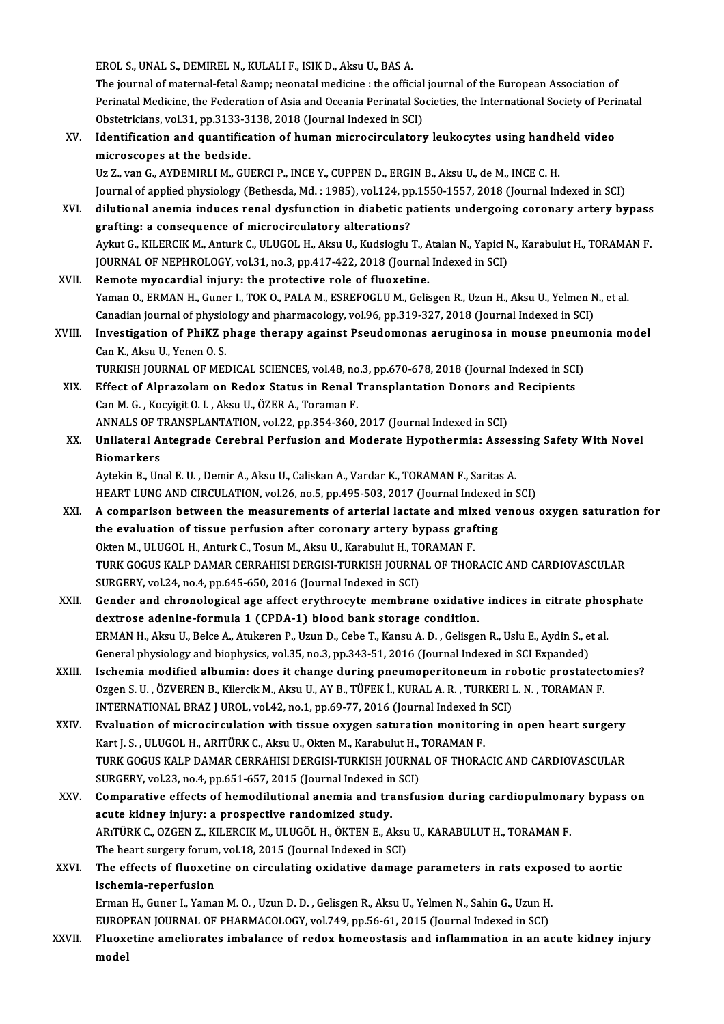EROL S.,UNAL S.,DEMIRELN.,KULALIF., ISIKD.,AksuU.,BASA.

The journal of maternal-fetal & neonatal medicine : the official journal of the European Association of Perinatal Medicine, the Federation of Asia and Oceania Perinatal Societies, the International Society of Perinatal The journal of maternal-fetal & neonatal medicine : the official<br>Perinatal Medicine, the Federation of Asia and Oceania Perinatal So<br>Obstetricians, vol.31, pp.3133-3138, 2018 (Journal Indexed in SCI)<br>Identification and

XV. Identification and quantification of human microcirculatory leukocytes using handheld video<br>microscopes at the bedside. Obstetricians, vol.31, pp.3133-3<br>Identification and quantifica<br>microscopes at the bedside.<br><sup>He 7</sup> van C. AVDEMIBLI M. CU

Uz Z., van G., AYDEMIRLI M., GUERCI P., INCE Y., CUPPEN D., ERGIN B., Aksu U., de M., INCE C. H. Journal of applied physiology (Bethesda, Md.: 1985), vol.124, pp.1550-1557, 2018 (Journal Indexed in SCI) Uz Z., van G., AYDEMIRLI M., GUERCI P., INCE Y., CUPPEN D., ERGIN B., Aksu U., de M., INCE C. H.<br>Journal of applied physiology (Bethesda, Md. : 1985), vol.124, pp.1550-1557, 2018 (Journal Indexed in SCI)<br>XVI. dilutional an

grafting: a consequence of microcirculatory alterations? dilutional anemia induces renal dysfunction in diabetic patients undergoing coronary artery bypass<br>grafting: a consequence of microcirculatory alterations?<br>Aykut G., KILERCIK M., Anturk C., ULUGOL H., Aksu U., Kudsioglu T. Aykut G., KILERCIK M., Anturk C., ULUGOL H., Aksu U., Kudsioglu T., Atalan N., Yapici N., Karabulut H., TORAMAN F.<br>JOURNAL OF NEPHROLOGY, vol.31, no.3, pp.417-422, 2018 (Journal Indexed in SCI)

- XVII. Remote myocardial injury: the protective role of fluoxetine. JOURNAL OF NEPHROLOGY, vol.31, no.3, pp.417-422, 2018 (Journal Indexed in SCI)<br>Remote myocardial injury: the protective role of fluoxetine.<br>Yaman O., ERMAN H., Guner I., TOK O., PALA M., ESREFOGLU M., Gelisgen R., Uzun H., Remote myocardial injury: the protective role of fluoxetine.<br>Yaman O., ERMAN H., Guner I., TOK O., PALA M., ESREFOGLU M., Gelisgen R., Uzun H., Aksu U., Yelmen N<br>Canadian journal of physiology and pharmacology, vol.96, pp. Yaman O., ERMAN H., Guner I., TOK O., PALA M., ESREFOGLU M., Gelisgen R., Uzun H., Aksu U., Yelmen N., et al.<br>Canadian journal of physiology and pharmacology, vol.96, pp.319-327, 2018 (Journal Indexed in SCI)<br>XVIII. Invest
- Canadian journal of physiology and pharmacology, vol.96, pp.319-327, 2018 (Journal Indexed in SCI)<br>Investigation of PhiKZ phage therapy against Pseudomonas aeruginosa in mouse pneumo<br>Can K., Aksu U., Yenen O. S.<br>TURKISH JO Investigation of PhiKZ phage therapy against Pseudomonas aeruginosa in mouse pneumonia model

- Can K., Aksu U., Yenen O. S.<br>TURKISH JOURNAL OF MEDICAL SCIENCES, vol.48, no.3, pp.670-678, 2018 (Journal Indexed in SCI<br>XIX. Effect of Alprazolam on Redox Status in Renal Transplantation Donors and Recipients<br>Can M. C. Ke TURKISH JOURNAL OF MEDICAL SCIENCES, vol.48, no<br>Effect of Alprazolam on Redox Status in Renal J<br>Can M. G., Kocyigit O. I., Aksu U., ÖZER A., Toraman F.<br>ANNALS OF TRANSPLANTATION, vol.33, np.354,360 Effect of Alprazolam on Redox Status in Renal Transplantation Donors and<br>Can M. G. , Kocyigit O. I. , Aksu U., ÖZER A., Toraman F.<br>ANNALS OF TRANSPLANTATION, vol.22, pp.354-360, 2017 (Journal Indexed in SCI)<br>Unilateral Ant
- Can M. G. , Kocyigit O. I. , Aksu U., ÖZER A., Toraman F.<br>ANNALS OF TRANSPLANTATION, vol.22, pp.354-360, 2017 (Journal Indexed in SCI)<br>XX. Unilateral Antegrade Cerebral Perfusion and Moderate Hypothermia: Assessing Saf ANNALS OF TRANSPLANTATION, vol.22, pp.354-360, 2017 (Journal Indexed in SCI)<br>Unilateral Antegrade Cerebral Perfusion and Moderate Hypothermia: Asses<br>Biomarkers<br>Aytekin B., Unal E. U. , Demir A., Aksu U., Caliskan A., Varda Unilateral Antegrade Cerebral Perfusion and Moderate Hypothermia: Asses<br>Biomarkers<br>Aytekin B., Unal E. U. , Demir A., Aksu U., Caliskan A., Vardar K., TORAMAN F., Saritas A.<br>HEAPT LUNG AND CIPCULATION vol 26 no 5 nn 405 50

Biomarkers<br>Aytekin B., Unal E. U. , Demir A., Aksu U., Caliskan A., Vardar K., TORAMAN F., Saritas A.<br>HEART LUNG AND CIRCULATION, vol.26, no.5, pp.495-503, 2017 (Journal Indexed in SCI)<br>A comparison between the measurement

- Aytekin B., Unal E. U. , Demir A., Aksu U., Caliskan A., Vardar K., TORAMAN F., Saritas A.<br>HEART LUNG AND CIRCULATION, vol.26, no.5, pp.495-503, 2017 (Journal Indexed in SCI)<br>XXI. A comparison between the measurements of a HEART LUNG AND CIRCULATION, vol.26, no.5, pp.495-503, 2017 (Journal Indexed<br>A comparison between the measurements of arterial lactate and mixed v<br>the evaluation of tissue perfusion after coronary artery bypass grafting<br>Olt A comparison between the measurements of arterial lactate and mix<br>the evaluation of tissue perfusion after coronary artery bypass graf<br>Okten M., ULUGOL H., Anturk C., Tosun M., Aksu U., Karabulut H., TORAMAN F.<br>TURK COCUS the evaluation of tissue perfusion after coronary artery bypass grafting<br>Okten M., ULUGOL H., Anturk C., Tosun M., Aksu U., Karabulut H., TORAMAN F.<br>TURK GOGUS KALP DAMAR CERRAHISI DERGISI-TURKISH JOURNAL OF THORACIC AND C Okten M., ULUGOL H., Anturk C., Tosun M., Aksu U., Karabulut H., TO<br>TURK GOGUS KALP DAMAR CERRAHISI DERGISI-TURKISH JOURNA<br>SURGERY, vol.24, no.4, pp.645-650, 2016 (Journal Indexed in SCI)<br>Conder and chronological age offec TURK GOGUS KALP DAMAR CERRAHISI DERGISI-TURKISH JOURNAL OF THORACIC AND CARDIOVASCULAR<br>SURGERY, vol.24, no.4, pp.645-650, 2016 (Journal Indexed in SCI)<br>XXII. Gender and chronological age affect erythrocyte membrane oxidati
- SURGERY, vol.24, no.4, pp.645-650, 2016 (Journal Indexed in SCI)<br>Gender and chronological age affect erythrocyte membrane oxidative indices in citrate phosphate<br>dextrose adenine-formula 1 (CPDA-1) blood bank storage condit Gender and chronological age affect erythrocyte membrane oxidative indices in citrate phose<br>dextrose adenine-formula 1 (CPDA-1) blood bank storage condition.<br>ERMAN H., Aksu U., Belce A., Atukeren P., Uzun D., Cebe T., Kans dextrose adenine-formula 1 (CPDA-1) blood bank storage condition.<br>ERMAN H., Aksu U., Belce A., Atukeren P., Uzun D., Cebe T., Kansu A. D. , Gelisgen R., Uslu E., Aydin S., e<br>General physiology and biophysics, vol.35, no.3, ERMAN H., Aksu U., Belce A., Atukeren P., Uzun D., Cebe T., Kansu A. D., Gelisgen R., Uslu E., Aydin S., et al.<br>General physiology and biophysics, vol.35, no.3, pp.343-51, 2016 (Journal Indexed in SCI Expanded)<br>XXIII. Isch
- General physiology and biophysics, vol.35, no.3, pp.343-51, 2016 (Journal Indexed in SCI Expanded)<br>Ischemia modified albumin: does it change during pneumoperitoneum in robotic prostatect<br>Ozgen S.U., ÖZVEREN B., Kilercik M. Ischemia modified albumin: does it change during pneumoperitoneum in rodgen S.U., ÖZVEREN B., Kilercik M., Aksu U., AY B., TÜFEK İ., KURAL A. R., TURKERI I<br>INTERNATIONAL BRAZ J UROL, vol.42, no.1, pp.69-77, 2016 (Journal I Ozgen S. U. , ÖZVEREN B., Kilercik M., Aksu U., AY B., TÜFEK İ., KURAL A. R. , TURKERI L. N. , TORAMAN F.<br>INTERNATIONAL BRAZ J UROL, vol.42, no.1, pp.69-77, 2016 (Journal Indexed in SCI)<br>XXIV. Evaluation of microcirculatio
- INTERNATIONAL BRAZ J UROL, vol.42, no.1, pp.69-77, 2016 (Journal Indexed in<br><mark>Evaluation of microcirculation with tissue oxygen saturation monitori</mark><br>Kart J. S. , ULUGOL H., ARITÜRK C., Aksu U., Okten M., Karabulut H., TORAM Evaluation of microcirculation with tissue oxygen saturation monitoring in open heart surgery<br>Kart J. S. , ULUGOL H., ARITÜRK C., Aksu U., Okten M., Karabulut H., TORAMAN F.<br>TURK GOGUS KALP DAMAR CERRAHISI DERGISI-TURKISH Kart J. S. , ULUGOL H., ARITÜRK C., Aksu U., Okten M., Karabulut H.,<br>TURK GOGUS KALP DAMAR CERRAHISI DERGISI-TURKISH JOURNA<br>SURGERY, vol.23, no.4, pp.651-657, 2015 (Journal Indexed in SCI)<br>Comparative effects of bemodiluti TURK GOGUS KALP DAMAR CERRAHISI DERGISI-TURKISH JOURNAL OF THORACIC AND CARDIOVASCULAR<br>SURGERY, vol.23, no.4, pp.651-657, 2015 (Journal Indexed in SCI)<br>XXV. Comparative effects of hemodilutional anemia and transfusion duri
- SURGERY, vol.23, no.4, pp.651-657, 2015 (Journal Indexed in<br>Comparative effects of hemodilutional anemia and trandomized study.<br>aperting C. OZCEN Z. KU ERCIK M. ULUCÖL H. ÖKTEN E. A Comparative effects of hemodilutional anemia and transfusion during cardiopulmona<br>acute kidney injury: a prospective randomized study.<br>ARıTÜRK C., OZGEN Z., KILERCIK M., ULUGÖL H., ÖKTEN E., Aksu U., KARABULUT H., TORAMAN acute kidney injury: a prospective randomized study.<br>ARITÜRK C., OZGEN Z., KILERCIK M., ULUGÖL H., ÖKTEN E., Aksu U., KARABULUT H., TORAMAN F. The heart surgery forum, vol.18, 2015 (Journal Indexed in SCI)

# XXVI. The effects of fluoxetine on circulating oxidative damage parameters in rats exposed to aortic The effects of fluoxetine on circulating oxidative damage parameters in rats expose<br>ischemia-reperfusion<br>Erman H., Guner I., Yaman M. O. , Uzun D. D. , Gelisgen R., Aksu U., Yelmen N., Sahin G., Uzun H.<br>EUROPEAN JOURNAL OF ischemia-reperfusion<br>Erman H., Guner I., Yaman M. O. , Uzun D. D. , Gelisgen R., Aksu U., Yelmen N., Sahin G., Uzun H.<br>EUROPEAN JOURNAL OF PHARMACOLOGY, vol.749, pp.56-61, 2015 (Journal Indexed in SCI)<br>Eluouetino amplianat

Erman H., Guner I., Yaman M. O. , Uzun D. D. , Gelisgen R., Aksu U., Yelmen N., Sahin G., Uzun H.<br>EUROPEAN JOURNAL OF PHARMACOLOGY, vol.749, pp.56-61, 2015 (Journal Indexed in SCI)<br>XXVII. Fluoxetine ameliorates imbalance o EUROP<br><mark>Fluox</mark>e<br>model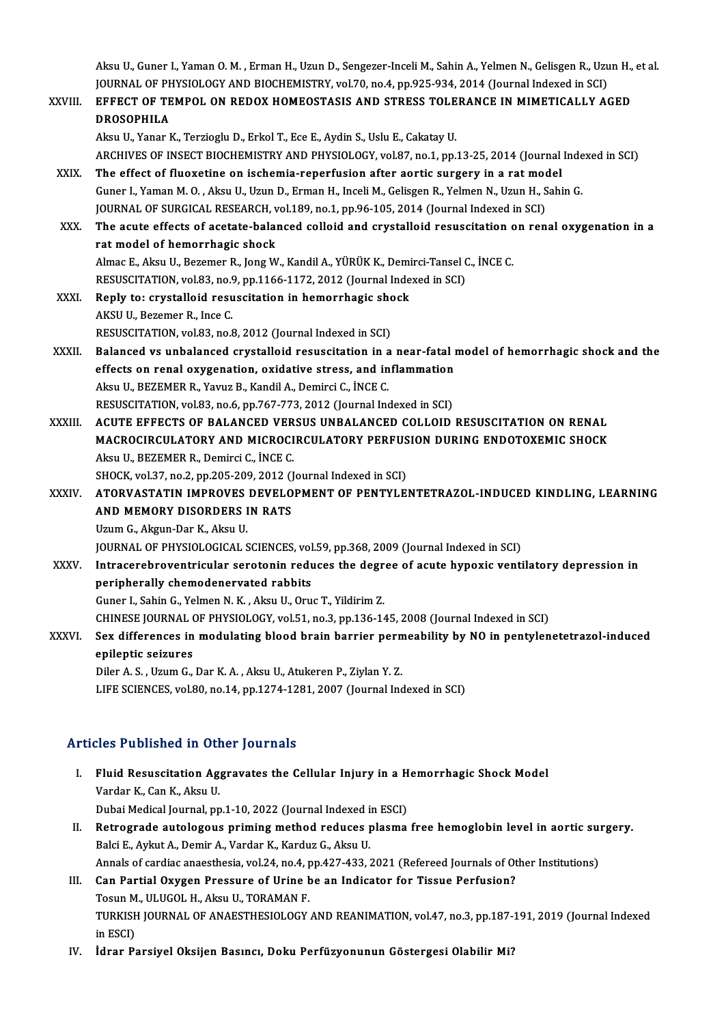Aksu U., Guner I., Yaman O. M. , Erman H., Uzun D., Sengezer-Inceli M., Sahin A., Yelmen N., Gelisgen R., Uzun H., et al.<br>JOUPNAL OF PHYSIOLOCY AND PIOCHEMISTRY vol 70, po 4, pp 925, 924, 2014 (Journal Indoved in SCD) Aksu U., Guner I., Yaman O. M. , Erman H., Uzun D., Sengezer-Inceli M., Sahin A., Yelmen N., Gelisgen R., Uzu<br>JOURNAL OF PHYSIOLOGY AND BIOCHEMISTRY, vol.70, no.4, pp.925-934, 2014 (Journal Indexed in SCI)<br>FEEFECT OF TEMPO JOURNAL OF PHYSIOLOGY AND BIOCHEMISTRY, vol.70, no.4, pp.925-934, 2014 (Journal Indexed in SCI)

|              | Aksu U., Guner I., Yaman O. M., Erman H., Uzun D., Sengezer-Inceli M., Sahin A., Yelmen N., Gelisgen R., Uzun H., et al. |
|--------------|--------------------------------------------------------------------------------------------------------------------------|
|              | JOURNAL OF PHYSIOLOGY AND BIOCHEMISTRY, vol.70, no.4, pp.925-934, 2014 (Journal Indexed in SCI)                          |
| XXVIII.      | EFFECT OF TEMPOL ON REDOX HOMEOSTASIS AND STRESS TOLERANCE IN MIMETICALLY AGED                                           |
|              | <b>DROSOPHILA</b>                                                                                                        |
|              | Aksu U., Yanar K., Terzioglu D., Erkol T., Ece E., Aydin S., Uslu E., Cakatay U.                                         |
|              | ARCHIVES OF INSECT BIOCHEMISTRY AND PHYSIOLOGY, vol.87, no.1, pp.13-25, 2014 (Journal Indexed in SCI)                    |
| XXIX.        | The effect of fluoxetine on ischemia-reperfusion after aortic surgery in a rat model                                     |
|              | Guner I., Yaman M. O., Aksu U., Uzun D., Erman H., Inceli M., Gelisgen R., Yelmen N., Uzun H., Sahin G.                  |
|              | JOURNAL OF SURGICAL RESEARCH, vol.189, no.1, pp.96-105, 2014 (Journal Indexed in SCI)                                    |
| XXX.         | The acute effects of acetate-balanced colloid and crystalloid resuscitation on renal oxygenation in a                    |
|              | rat model of hemorrhagic shock                                                                                           |
|              | Almac E., Aksu U., Bezemer R., Jong W., Kandil A., YÜRÜK K., Demirci-Tansel C., İNCE C.                                  |
|              | RESUSCITATION, vol.83, no.9, pp.1166-1172, 2012 (Journal Indexed in SCI)                                                 |
| XXXI.        | Reply to: crystalloid resuscitation in hemorrhagic shock                                                                 |
|              | AKSU U., Bezemer R., Ince C.                                                                                             |
|              | RESUSCITATION, vol.83, no.8, 2012 (Journal Indexed in SCI)                                                               |
| XXXII.       | Balanced vs unbalanced crystalloid resuscitation in a near-fatal model of hemorrhagic shock and the                      |
|              | effects on renal oxygenation, oxidative stress, and inflammation                                                         |
|              | Aksu U., BEZEMER R., Yavuz B., Kandil A., Demirci C., İNCE C.                                                            |
|              | RESUSCITATION, vol.83, no.6, pp.767-773, 2012 (Journal Indexed in SCI)                                                   |
| XXXIII.      | ACUTE EFFECTS OF BALANCED VERSUS UNBALANCED COLLOID RESUSCITATION ON RENAL                                               |
|              | MACROCIRCULATORY AND MICROCIRCULATORY PERFUSION DURING ENDOTOXEMIC SHOCK                                                 |
|              | Aksu U., BEZEMER R., Demirci C., İNCE C.                                                                                 |
|              | SHOCK, vol.37, no.2, pp.205-209, 2012 (Journal Indexed in SCI)                                                           |
| <b>XXXIV</b> | ATORVASTATIN IMPROVES DEVELOPMENT OF PENTYLENTETRAZOL-INDUCED KINDLING, LEARNING                                         |
|              | AND MEMORY DISORDERS IN RATS                                                                                             |
|              | Uzum G., Akgun-Dar K., Aksu U.                                                                                           |
|              | JOURNAL OF PHYSIOLOGICAL SCIENCES, vol.59, pp.368, 2009 (Journal Indexed in SCI)                                         |
| <b>XXXV</b>  | Intracerebroventricular serotonin reduces the degree of acute hypoxic ventilatory depression in                          |
|              | peripherally chemodenervated rabbits                                                                                     |
|              | Guner I., Sahin G., Yelmen N. K., Aksu U., Oruc T., Yildirim Z.                                                          |
|              | CHINESE JOURNAL OF PHYSIOLOGY, vol.51, no.3, pp.136-145, 2008 (Journal Indexed in SCI)                                   |
| XXXVI.       | Sex differences in modulating blood brain barrier permeability by NO in pentylenetetrazol-induced                        |
|              | epileptic seizures                                                                                                       |
|              | Diler A. S., Uzum G., Dar K. A., Aksu U., Atukeren P., Ziylan Y. Z.                                                      |
|              | LIFE SCIENCES, vol.80, no.14, pp.1274-1281, 2007 (Journal Indexed in SCI)                                                |

# Articles Published in Other Journals

- rticles Published in Other Journals<br>I. Fluid Resuscitation Aggravates the Cellular Injury in a Hemorrhagic Shock Model<br>Morder K. Can K. Alray II Vardar Harmond III our<br>Fluid Resuscitation Ag<br>Vardar K., Can K., Aksu U.<br>Dubei Medical Journal nn Fluid Resuscitation Aggravates the Cellular Injury in a H<br>Vardar K., Can K., Aksu U.<br>Dubai Medical Journal, pp.1-10, 2022 (Journal Indexed in ESCI)<br>Betresrede euteleseus primins method reduses pleame Vardar K., Can K., Aksu U.<br>Dubai Medical Journal, pp.1-10, 2022 (Journal Indexed in ESCI)<br>II. Retrograde autologous priming method reduces plasma free hemoglobin level in aortic surgery.<br>Pelsi E. Avlut A. Demir A. Verder K Dubai Medical Journal, pp.1-10, 2022 (Journal Indexed in<br>**Retrograde autologous priming method reduces p**<br>Balci E., Aykut A., Demir A., Vardar K., Karduz G., Aksu U. Retrograde autologous priming method reduces plasma free hemoglobin level in aortic sui<br>Balci E., Aykut A., Demir A., Vardar K., Karduz G., Aksu U.<br>Annals of cardiac anaesthesia, vol.24, no.4, pp.427-433, 2021 (Refereed Jo Balci E., Aykut A., Demir A., Vardar K., Karduz G., Aksu U.<br>Annals of cardiac anaesthesia, vol.24, no.4, pp.427-433, 2021 (Refereed Journals of Other Institutions)<br>III. Can Partial Oxygen Pressure of Urine be an Indicator
- Tosun M., ULUGOL H., Aksu U., TORAMAN F. Can Partial Oxygen Pressure of Urine be an Indicator for Tissue Perfusion?<br>Tosun M., ULUGOL H., Aksu U., TORAMAN F.<br>TURKISH JOURNAL OF ANAESTHESIOLOGY AND REANIMATION, vol.47, no.3, pp.187-191, 2019 (Journal Indexed<br>in ESC Tosun M<br>TURKISH<br>in ESCI)<br>İdrar Be TURKISH JOURNAL OF ANAESTHESIOLOGY AND REANIMATION, vol.47, no.3, pp.187-<br>in ESCI)<br>IV. İdrar Parsiyel Oksijen Basıncı, Doku Perfüzyonunun Göstergesi Olabilir Mi?
-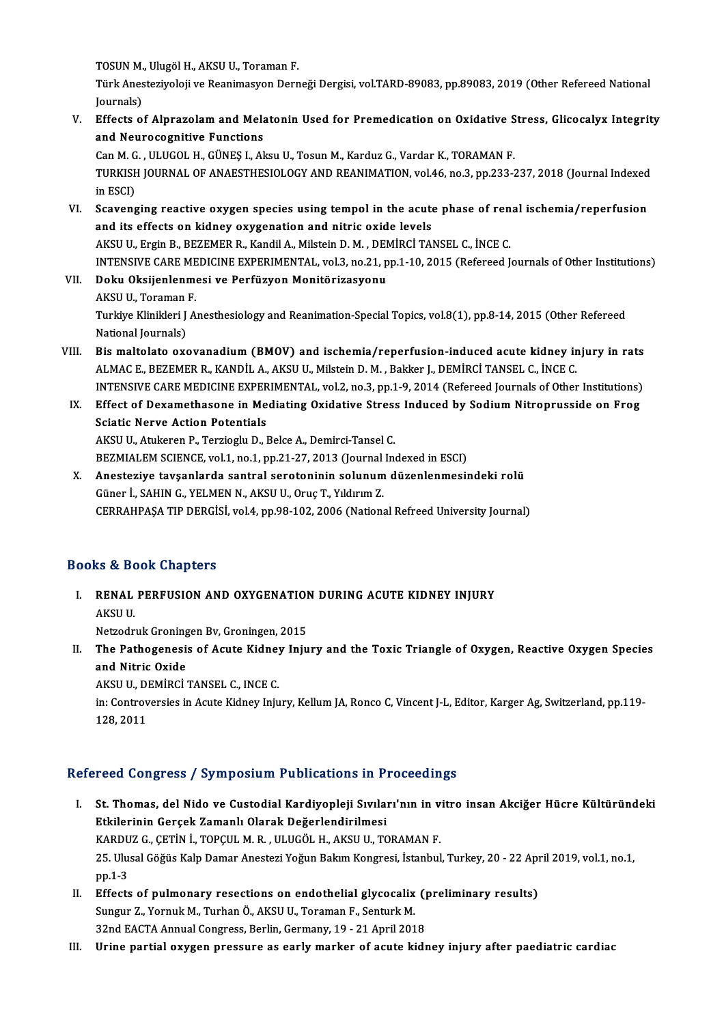TOSUN M., Ulugöl H., AKSU U., Toraman F.<br>Türk Anesteriyeleii ve Beanimasyon Denn

Türk Anesteziyoloji ve Reanimasyon Derneği Dergisi, vol.TARD-89083, pp.89083, 2019 (Other Refereed National Iournals) TOSUN M.<br>Türk Anes<br>Journals)<br>Effects e Türk Anesteziyoloji ve Reanimasyon Derneği Dergisi, vol.TARD-89083, pp.89083, 2019 (Other Refereed National<br>Journals)<br>V. Effects of Alprazolam and Melatonin Used for Premedication on Oxidative Stress, Glicocalyx Integrity<br>

Journals)<br>Effects of Alprazolam and Mela<br>and Neurocognitive Functions<br>Can M.C., ULUCOL H. CÜNES LAL Effects of Alprazolam and Melatonin Used for Premedication on Oxidative S<br>and Neurocognitive Functions<br>Can M. G., ULUGOL H., GÜNEŞ I., Aksu U., Tosun M., Karduz G., Vardar K., TORAMAN F.<br>TURKISH JOURNAL OF ANAESTHESIOLOCY

and Neurocognitive Functions<br>Can M. G. , ULUGOL H., GÜNEŞ I., Aksu U., Tosun M., Karduz G., Vardar K., TORAMAN F.<br>TURKISH JOURNAL OF ANAESTHESIOLOGY AND REANIMATION, vol.46, no.3, pp.233-237, 2018 (Journal Indexed<br>in ESCD Can M. G<br>TURKISH<br>in ESCI)<br>Scovens TURKISH JOURNAL OF ANAESTHESIOLOGY AND REANIMATION, vol.46, no.3, pp.233-237, 2018 (Journal Indexed<br>in ESCI)<br>VI. Scavenging reactive oxygen species using tempol in the acute phase of renal ischemia/reperfusion<br>and its effe

- in ESCI)<br>Scavenging reactive oxygen species using tempol in the acute<br>and its effects on kidney oxygenation and nitric oxide levels<br>AKSUUL Ergin B. REZEMER R. Kandil A. Milstein D. M. DEMIRCI TAL Scavenging reactive oxygen species using tempol in the acute phase of ren<br>and its effects on kidney oxygenation and nitric oxide levels<br>AKSU U., Ergin B., BEZEMER R., Kandil A., Milstein D. M. , DEMİRCİ TANSEL C., İNCE C.<br> and its effects on kidney oxygenation and nitric oxide levels<br>AKSU U., Ergin B., BEZEMER R., Kandil A., Milstein D. M. , DEMİRCİ TANSEL C., İNCE C.<br>INTENSIVE CARE MEDICINE EXPERIMENTAL, vol.3, no.21, pp.1-10, 2015 (Referee AKSU U., Ergin B., BEZEMER R., Kandil A., Milstein D. M. , DEN<br>INTENSIVE CARE MEDICINE EXPERIMENTAL, vol.3, no.21, p<br>VII. Doku Oksijenlenmesi ve Perfüzyon Monitörizasyonu<br>AKSU U. Tereman F
- INTENSIVE CARE ME<br><mark>Doku Oksijenlenm</mark><br>AKSU U., Toraman F.<br>Turkive Klinikleri LA Turkiye Klinikleri J Anesthesiology and Reanimation-Special Topics, vol.8(1), pp.8-14, 2015 (Other Refereed<br>National Journals) AKSU U., Toraman F. Turkiye Klinikleri J Anesthesiology and Reanimation-Special Topics, vol.8(1), pp.8-14, 2015 (Other Refereed<br>National Journals)<br>VIII. Bis maltolato oxovanadium (BMOV) and ischemia/reperfusion-induced acute kidney injury in
- National Journals)<br>Bis maltolato oxovanadium (BMOV) and ischemia/reperfusion-induced acute kidney in<br>ALMAC E., BEZEMER R., KANDİL A., AKSU U., Milstein D. M. , Bakker J., DEMİRCİ TANSEL C., İNCE C.<br>INTENSIVE CARE MEDICINE Bis maltolato oxovanadium (BMOV) and ischemia/reperfusion-induced acute kidney injury in rats<br>ALMAC E., BEZEMER R., KANDİL A., AKSU U., Milstein D. M. , Bakker J., DEMİRCİ TANSEL C., İNCE C.<br>INTENSIVE CARE MEDICINE EXPERIM ALMAC E., BEZEMER R., KANDIL A., AKSU U., Milstein D. M. , Bakker J., DEMIRCI TANSEL C., INCE C.<br>INTENSIVE CARE MEDICINE EXPERIMENTAL, vol.2, no.3, pp.1-9, 2014 (Refereed Journals of Other Institutions)<br>IX. Effect of Dexam
- INTENSIVE CARE MEDICINE EXPER<br>Effect of Dexamethasone in Me<br>Sciatic Nerve Action Potentials<br>AKSULU Atukeren B. Terriegh: D. 1 Effect of Dexamethasone in Mediating Oxidative Stress<br>Sciatic Nerve Action Potentials<br>AKSU U., Atukeren P., Terzioglu D., Belce A., Demirci-Tansel C.<br>PEZMIALEM SCIENCE vol.1, no.1, nn.21, 27, 2012 (Journal In Sciatic Nerve Action Potentials<br>AKSU U., Atukeren P., Terzioglu D., Belce A., Demirci-Tansel C.<br>BEZMIALEM SCIENCE, vol.1, no.1, pp.21-27, 2013 (Journal Indexed in ESCI)<br>Anesterive tavsanlarda santral seretaninin selunum dü

AKSU U., Atukeren P., Terzioglu D., Belce A., Demirci-Tansel C.<br>BEZMIALEM SCIENCE, vol.1, no.1, pp.21-27, 2013 (Journal Indexed in ESCI)<br>X. Anesteziye tavşanlarda santral serotoninin solunum düzenlenmesindeki rolü<br>Güne BEZMIALEM SCIENCE, vol.1, no.1, pp.21-27, 2013 (Journal<br>Anesteziye tavşanlarda santral serotoninin solunum<br>Güner İ., SAHIN G., YELMEN N., AKSU U., Oruç T., Yıldırım Z.<br>CERRAHRASA TIR DERÇİSİ vol.4, np.99, 102, 2006 (Nation CERRAHPAŞA TIP DERGİSİ, vol.4, pp.98-102, 2006 (National Refreed University Journal)

# Books&Book Chapters

- OOks & Book Chapters<br>I. RENAL PERFUSION AND OXYGENATION DURING ACUTE KIDNEY INJURY<br>AKSU U RENAL<br>RENAL<br>AKSU U. RENAL PERFUSION AND OXYGENATION<br>AKSU U.<br>Netzodruk Groningen Bv, Groningen, 2015<br>The Bethegenesis of Asute Kidney Iniu
- AKSU U.<br>Netzodruk Groningen Bv, Groningen, 2015<br>II. The Pathogenesis of Acute Kidney Injury and the Toxic Triangle of Oxygen, Reactive Oxygen Species<br>and Nitrie Oxide Netzodruk Groning<br>The Pathogenesi<br>and Nitric Oxide<br>AKSULL DEMIDCI The Pathogenesis of Acute Kidney<br>and Nitric Oxide<br>AKSU U., DEMİRCİ TANSEL C., INCE C.<br>in: Controversies in Asute Kidney Inju and Nitric Oxide<br>AKSU U., DEMİRCİ TANSEL C., INCE C.<br>in: Controversies in Acute Kidney Injury, Kellum JA, Ronco C, Vincent J-L, Editor, Karger Ag, Switzerland, pp.119-<br>128, 2011 AKSU U., DEMIRCI TANSEL C., INCE C.

# Refereed Congress / Symposium Publications in Proceedings

- efereed Congress / Symposium Publications in Proceedings<br>I. St. Thomas, del Nido ve Custodial Kardiyopleji Sıvıları'nın in vitro insan Akciğer Hücre Kültüründeki<br>Etkilerinin Cereek Zamanlı Olarak Değerlandirilmesi Etkilerinin Gerçek Zamanlı Olarak Değerlendirilmesi<br>Etkilerinin Gerçek Zamanlı Olarak Değerlendirilmesi<br>KARDUZ GEETIN İ TORCULM BULUCÖLU AKSULU TO St. Thomas, del Nido ve Custodial Kardiyopleji Sıvıları'nın in v<br>Etkilerinin Gerçek Zamanlı Olarak Değerlendirilmesi<br>KARDUZ G.,ÇETİN İ., TOPÇUL M. R. , ULUGÖL H., AKSU U., TORAMAN F.<br>25 Hlugel Göğüs Kalp Daman Anestari Yağ Etkilerinin Gerçek Zamanlı Olarak Değerlendirilmesi<br>KARDUZ G., ÇETİN İ., TOPÇUL M. R. , ULUGÖL H., AKSU U., TORAMAN F.<br>25. Ulusal Göğüs Kalp Damar Anestezi Yoğun Bakım Kongresi, İstanbul, Turkey, 20 - 22 April 2019, vol.1, KARDU<br>25. Ulu:<br>pp.1-3<br>Effects 25. Ulusal Göğüs Kalp Damar Anestezi Yoğun Bakım Kongresi, İstanbul, Turkey, 20 - 22 Aprop. 1-3<br>II. Effects of pulmonary resections on endothelial glycocalix (preliminary results)<br>Sungun Z. Vennuk M. Turben Ö. AKSU U. Tene
- pp.1-3<br>Effects of pulmonary resections on endothelial glycocalix<br>Sungur Z., Yornuk M., Turhan Ö., AKSU U., Toraman F., Senturk M.<br>22nd EACTA Annual Congress Berlin Cermany, 10,, 21 Anril 201 Effects of pulmonary resections on endothelial glycocalix (p<br>Sungur Z., Yornuk M., Turhan Ö., AKSU U., Toraman F., Senturk M.<br>32nd EACTA Annual Congress, Berlin, Germany, 19 - 21 April 2018<br>Urine partial exugen pressure as Sungur Z., Yornuk M., Turhan Ö., AKSU U., Toraman F., Senturk M.<br>32nd EACTA Annual Congress, Berlin, Germany, 19 - 21 April 2018<br>III. Urine partial oxygen pressure as early marker of acute kidney injury after paediatri
-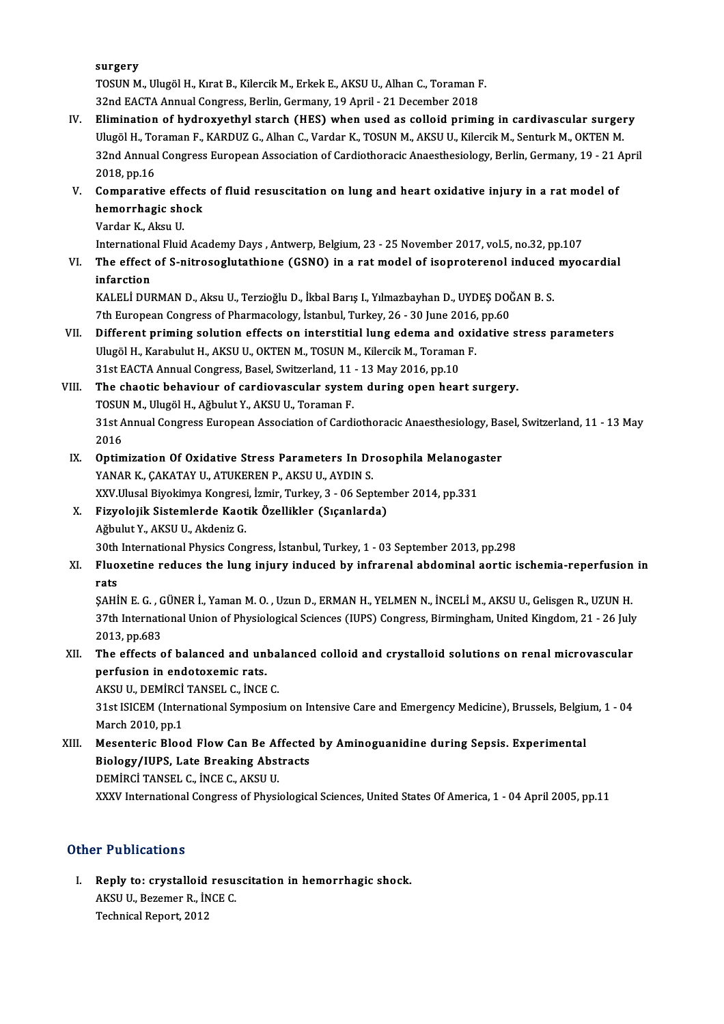surgery

TOSUNM.,UlugölH.,KıratB.,KilercikM.,ErkekE.,AKSUU.,AlhanC.,ToramanF. 32ndEACTAAnnualCongress,Berlin,Germany,19April -21December 2018

- TOSUN M., Ulugöl H., Kırat B., Kilercik M., Erkek E., AKSU U., Alhan C., Toraman F.<br>32nd EACTA Annual Congress, Berlin, Germany, 19 April 21 December 2018<br>IV. Elimination of hydroxyethyl starch (HES) when used as colloid 32nd EACTA Annual Congress, Berlin, Germany, 19 April - 21 December 2018<br>Elimination of hydroxyethyl starch (HES) when used as colloid priming in cardivascular surger<br>Ulugöl H., Toraman F., KARDUZ G., Alhan C., Vardar K., 32nd Annual Congress European Association of Cardiothoracic Anaesthesiology, Berlin, Germany, 19 - 21 April<br>2018, pp.16 Ulugöl H., Toraman F., KARDUZ G., Alhan C., Vardar K., TOSUN M., AKSU U., Kilercik M., Senturk M., OKTEN M. S2nd Annual Congress European Association of Cardiothoracic Anaesthesiology, Berlin, Germany, 19 - 21 / 2018, pp.16<br>V. Comparative effects of fluid resuscitation on lung and heart oxidative injury in a rat model of<br>hemogra
- 2018, pp.16<br>Comparative effects<br>hemorrhagic shock<br>Vardar K. Alcu H Comparative eff<br>hemorrhagic she<br>Vardar K., Aksu U.<br>International Fluid hemorrhagic shock<br>Vardar K., Aksu U.<br>International Fluid Academy Days , Antwerp, Belgium, 23 - 25 November 2017, vol.5, no.32, pp.107<br>The effect of S. pitroseglutathione (CSNO) in a ret model of isonreterencl induced myec
	-

Vardar K., Aksu U.<br>International Fluid Academy Days , Antwerp, Belgium, 23 - 25 November 2017, vol.5, no.32, pp.107<br>VI. The effect of S-nitrosoglutathione (GSNO) in a rat model of isoproterenol induced myocardial<br>infarctio Internation<br>The effect<br>infarction<br>KALELI DUI The effect of S-nitrosoglutathione (GSNO) in a rat model of isoproterenol induced<br>infarction<br>KALELİ DURMAN D., Aksu U., Terzioğlu D., İkbal Barış I., Yılmazbayhan D., UYDEŞ DOĞAN B. S.<br>7th Euroneen Congress of Pharmacelogy

infarction<br>KALELİ DURMAN D., Aksu U., Terzioğlu D., İkbal Barış I., Yılmazbayhan D., UYDEŞ DOČ<br>7th European Congress of Pharmacology, İstanbul, Turkey, 26 - 30 June 2016, pp.60<br>Diffenent priming solution effects en interst

KALELİ DURMAN D., Aksu U., Terzioğlu D., İkbal Barış I., Yılmazbayhan D., UYDEŞ DOĞAN B. S.<br>7th European Congress of Pharmacology, İstanbul, Turkey, 26 - 30 June 2016, pp.60<br>VII. Different priming solution effects on inter 7th European Congress of Pharmacology, İstanbul, Turkey, 26 - 30 June 2016, pp.60<br>Different priming solution effects on interstitial lung edema and oxidative<br>Ulugöl H., Karabulut H., AKSU U., OKTEN M., TOSUN M., Kilercik M Different priming solution effects on interstitial lung edema and c<br>Ulugöl H., Karabulut H., AKSU U., OKTEN M., TOSUN M., Kilercik M., Toramar<br>31st EACTA Annual Congress, Basel, Switzerland, 11 - 13 May 2016, pp.10<br>The sha Ulugöl H., Karabulut H., AKSU U., OKTEN M., TOSUN M., Kilercik M., Toraman F.<br>31st EACTA Annual Congress, Basel, Switzerland, 11 - 13 May 2016, pp.10<br>VIII. The chaotic behaviour of cardiovascular system during open heart s

# 31st EACTA Annual Congress, Basel, Switzerland, 11<br>The chaotic behaviour of cardiovascular system<br>TOSUN M., Ulugöl H., Ağbulut Y., AKSU U., Toraman F.<br>21st Annual Congress European Association of Cardi

TOSUN M., Ulugöl H., Ağbulut Y., AKSU U., Toraman F.

31st Annual Congress European Association of Cardiothoracic Anaesthesiology, Basel, Switzerland, 11 - 13 May<br>2016 31st Annual Congress European Association of Cardiothoracic Anaesthesiology, Ba:<br>2016<br>IX. Optimization Of Oxidative Stress Parameters In Drosophila Melanogaster<br>XANAR K. GAKATAV U. ATUKEREN R. AKSU U. AVDIN S

- 2016<br>Optimization Of Oxidative Stress Parameters In Dr<br>YANAR K., ÇAKATAY U., ATUKEREN P., AKSU U., AYDIN S.<br>YYV Ulusal Bivokimya Kongresi, İsmir Turkay 3, 06 San Optimization Of Oxidative Stress Parameters In Drosophila Melanoga<br>YANAR K., ÇAKATAY U., ATUKEREN P., AKSU U., AYDIN S.<br>XXV.Ulusal Biyokimya Kongresi, İzmir, Turkey, 3 - 06 September 2014, pp.331<br>Fizyolojik Sistemlarda Kae YANAR K., ÇAKATAY U., ATUKEREN P., AKSU U., AYDIN S.<br>XXV.Ulusal Biyokimya Kongresi, İzmir, Turkey, 3 - 06 Septem<br>X. Fizyolojik Sistemlerde Kaotik Özellikler (Sıçanlarda)
- XXV.Ulusal Biyokimya Kongresi<br>Fizyolojik Sistemlerde Kaot<br>Ağbulut Y., AKSU U., Akdeniz G.<br>20th International Physics Con 30th International Physics Congress, İstanbul, Turkey, 1 - 03 September 2013, pp.298<br>30th International Physics Congress, İstanbul, Turkey, 1 - 03 September 2013, pp.298

# Ağbulut Y., AKSU U., Akdeniz G.<br>30th International Physics Congress, İstanbul, Turkey, 1 - 03 September 2013, pp.298<br>XI. Fluoxetine reduces the lung injury induced by infrarenal abdominal aortic ischemia-reperfusion in 30th<br>Fluo<br>rats<br>s^ui Fluoxetine reduces the lung injury induced by infrarenal abdominal aortic ischemia-reperfusion<br>rats<br>ŞAHİN E. G. , GÜNER İ., Yaman M. O. , Uzun D., ERMAN H., YELMEN N., İNCELİ M., AKSU U., Gelisgen R., UZUN H.<br>27th Internat

rats<br>ŞAHİN E. G. , GÜNER İ., Yaman M. O. , Uzun D., ERMAN H., YELMEN N., İNCELİ M., AKSU U., Gelisgen R., UZUN H.<br>37th International Union of Physiological Sciences (IUPS) Congress, Birmingham, United Kingdom, 21 - 26 July SAHIN E. G. , G.<br>37th Internati<br>2013, pp.683<br>The effects o 37th International Union of Physiological Sciences (IUPS) Congress, Birmingham, United Kingdom, 21 - 26 July<br>2013, pp.683<br>XII. The effects of balanced and unbalanced colloid and crystalloid solutions on renal microvascular

# 2013, pp.683<br>The effects of balanced and un<br>perfusion in endotoxemic rats.<br>AKSUJU DEMIRCLTANSEL C. INCE The effects of balanced and unba<br>perfusion in endotoxemic rats.<br>AKSU U., DEMİRCİ TANSEL C., İNCE C.<br>21st ISICEM (International Sumpesius

perfusion in endotoxemic rats.<br>AKSU U., DEMİRCİ TANSEL C., İNCE C.<br>31st ISICEM (International Symposium on Intensive Care and Emergency Medicine), Brussels, Belgium, 1 - 04<br>March 2010. pp.1 AKSU U., DEMİRCİ<br>31st ISICEM (Inter<br>March 2010, pp.1<br>Masantaris Plaa 31st ISICEM (International Symposium on Intensive Care and Emergency Medicine), Brussels, Belgiu<br>March 2010, pp.1<br>XIII. Mesenteric Blood Flow Can Be Affected by Aminoguanidine during Sepsis. Experimental<br>Riology (IURS, Lat

March 2010, pp.1<br>Mesenteric Blood Flow Can Be Affected<br>Biology/IUPS, Late Breaking Abstracts<br>DEMIRCLTANSEL C. INCE C. AKSU U Biology/IUPS, Late Breaking Abstracts<br>DEMİRCİ TANSEL C., İNCE C., AKSU U. XXXV International Congress of Physiological Sciences, United States Of America, 1 - 04 April 2005, pp.11

# Other Publications

ther Publications<br>I. Reply to: crystalloid resuscitation in hemorrhagic shock.<br>AKSU U. Beremen B. İNCE C A A ABARCARENS<br>Reply to: crystalloid resu:<br>AKSU U., Bezemer R., İNCE C.<br>Technical Beneut 2012 AKSU U., Bezemer R., İNCE C.<br>Technical Report, 2012